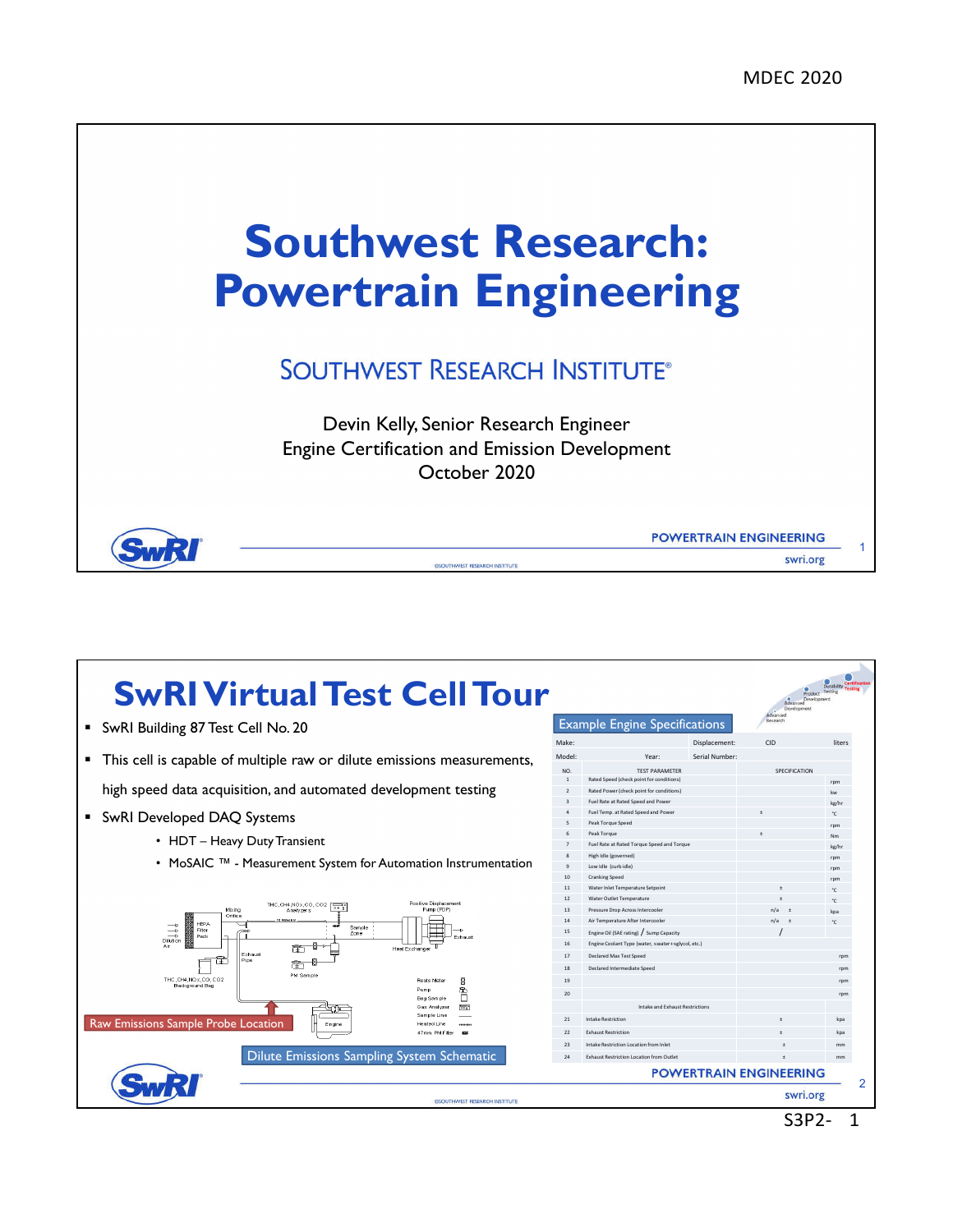

| <b>SwRIVirtual Test Cell Tour</b>                                                                                                                                                                                                                                                                                                              |                                      |                                                   |                | Product Testing<br>Developme<br>Advanced<br>Developme<br>Advanced | Durability Test |
|------------------------------------------------------------------------------------------------------------------------------------------------------------------------------------------------------------------------------------------------------------------------------------------------------------------------------------------------|--------------------------------------|---------------------------------------------------|----------------|-------------------------------------------------------------------|-----------------|
| " SwRI Building 87 Test Cell No. 20                                                                                                                                                                                                                                                                                                            | <b>Example Engine Specifications</b> |                                                   |                | Research                                                          |                 |
|                                                                                                                                                                                                                                                                                                                                                | Make:                                |                                                   | Displacement:  | <b>CID</b>                                                        | liters          |
| This cell is capable of multiple raw or dilute emissions measurements,                                                                                                                                                                                                                                                                         | Model:<br>NO.                        | Year:<br><b>TEST PARAMETER</b>                    | Serial Number: | SPECIFICATION                                                     |                 |
|                                                                                                                                                                                                                                                                                                                                                | $\overline{1}$                       | Rated Speed (check point for conditions)          |                |                                                                   | rom             |
| high speed data acquisition, and automated development testing                                                                                                                                                                                                                                                                                 | $\overline{2}$                       | Rated Power (check point for conditions)          |                |                                                                   | kw              |
|                                                                                                                                                                                                                                                                                                                                                | $\overline{z}$                       | Fuel Rate at Rated Speed and Power                |                |                                                                   | kg/hr           |
| • SwRI Developed DAQ Systems                                                                                                                                                                                                                                                                                                                   | $\Delta$                             | Fuel Temp. at Rated Speed and Power               |                |                                                                   | $\cdot$ $\cdot$ |
|                                                                                                                                                                                                                                                                                                                                                | 5                                    | Peak Torque Speed                                 |                |                                                                   | rom             |
|                                                                                                                                                                                                                                                                                                                                                |                                      | Peak Torque                                       |                |                                                                   | Nm              |
| • HDT - Heavy Duty Transient                                                                                                                                                                                                                                                                                                                   |                                      | Fuel Rate at Rated Torque Speed and Torque        |                |                                                                   | kg/hr           |
|                                                                                                                                                                                                                                                                                                                                                |                                      | High Idle (governed)                              |                |                                                                   | rom             |
| • MoSAIC TM - Measurement System for Automation Instrumentation<br>Positive Displacement<br>THC, CH4, NO x, CO, CO2 $\sqrt{\frac{1}{\pi n}}$<br>Pump (PDP)<br>Mixina<br>Analyzers<br>Orifice<br>HEPA<br>Sample<br>$\Rightarrow$<br>Filter<br>Zone<br>Pack<br>Exhaust<br>Dilution<br><b>Heat Exchanger</b><br>Exhaust<br>ট<br>Pipe<br>PM Sample | q                                    | Low Idle (curb idle)                              |                |                                                                   | rom             |
|                                                                                                                                                                                                                                                                                                                                                | 10 <sup>10</sup>                     | <b>Cranking Speed</b>                             |                |                                                                   | rom             |
|                                                                                                                                                                                                                                                                                                                                                | 11                                   | Water Inlet Temperature Setpoint                  |                |                                                                   | $\cdot c$       |
|                                                                                                                                                                                                                                                                                                                                                | 12                                   | Water Outlet Temperature                          |                |                                                                   | $\cdot$ $\cdot$ |
|                                                                                                                                                                                                                                                                                                                                                | 13                                   | Pressure Drop Across Intercooler                  |                | n/a                                                               |                 |
|                                                                                                                                                                                                                                                                                                                                                | 14                                   | Air Temperature After Intercooler                 |                | n/a                                                               | ۰ŕ              |
|                                                                                                                                                                                                                                                                                                                                                | 15                                   | Engine Oil (SAE rating) / Sump Capacity           |                |                                                                   |                 |
|                                                                                                                                                                                                                                                                                                                                                | 16                                   | Engine Coolant Type (water, swater+sglycol, etc.) |                |                                                                   |                 |
|                                                                                                                                                                                                                                                                                                                                                | 17                                   | Declared Max Test Speed                           |                |                                                                   | rnm             |
|                                                                                                                                                                                                                                                                                                                                                | 18                                   | Declared Intermediate Speed                       |                |                                                                   |                 |
| THC CH4 NOx CO CO2<br>Roots Meter<br>В<br>Background Bag                                                                                                                                                                                                                                                                                       | 19                                   |                                                   |                |                                                                   |                 |
| 亀<br>Pump<br>П<br>Bog Som pk                                                                                                                                                                                                                                                                                                                   | 20                                   |                                                   |                |                                                                   |                 |
| m<br>Gas Analyze                                                                                                                                                                                                                                                                                                                               |                                      | Intake and Exhaust Restrictions                   |                |                                                                   |                 |
|                                                                                                                                                                                                                                                                                                                                                | 21                                   | <b>Intake Restriction</b>                         |                | $\ddot{}$                                                         | koa             |
| Raw Emissions Sample Probe Location<br>Engine<br>Heated<br>47mm PM Fitor<br>×                                                                                                                                                                                                                                                                  | 22                                   | <b>Exhaust Restriction</b>                        |                | $\pm$                                                             | knz             |
|                                                                                                                                                                                                                                                                                                                                                |                                      |                                                   |                |                                                                   |                 |
|                                                                                                                                                                                                                                                                                                                                                | 73                                   | Intake Restriction Location from Inlet            |                | $\pm$                                                             |                 |
| Dilute Emissions Sampling System Schematic                                                                                                                                                                                                                                                                                                     | 24                                   | <b>Exhaust Restriction Location from Outlet</b>   |                |                                                                   | mm              |
|                                                                                                                                                                                                                                                                                                                                                |                                      |                                                   |                | <b>POWERTRAIN ENGINEERING</b>                                     |                 |
| <b>GSOUTHWEST RESEARCH INSTITUTE</b>                                                                                                                                                                                                                                                                                                           |                                      |                                                   |                | swri.org                                                          | 2               |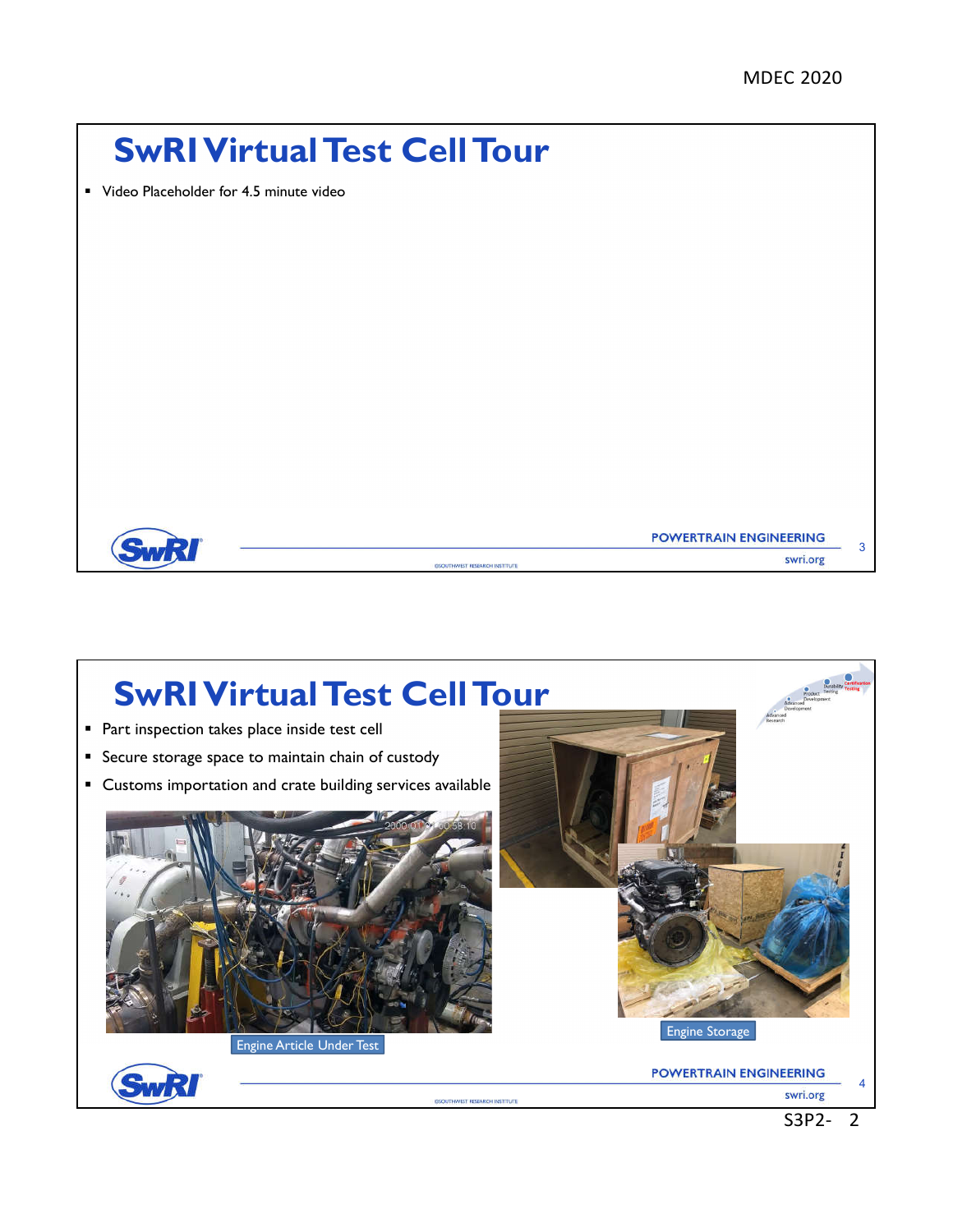

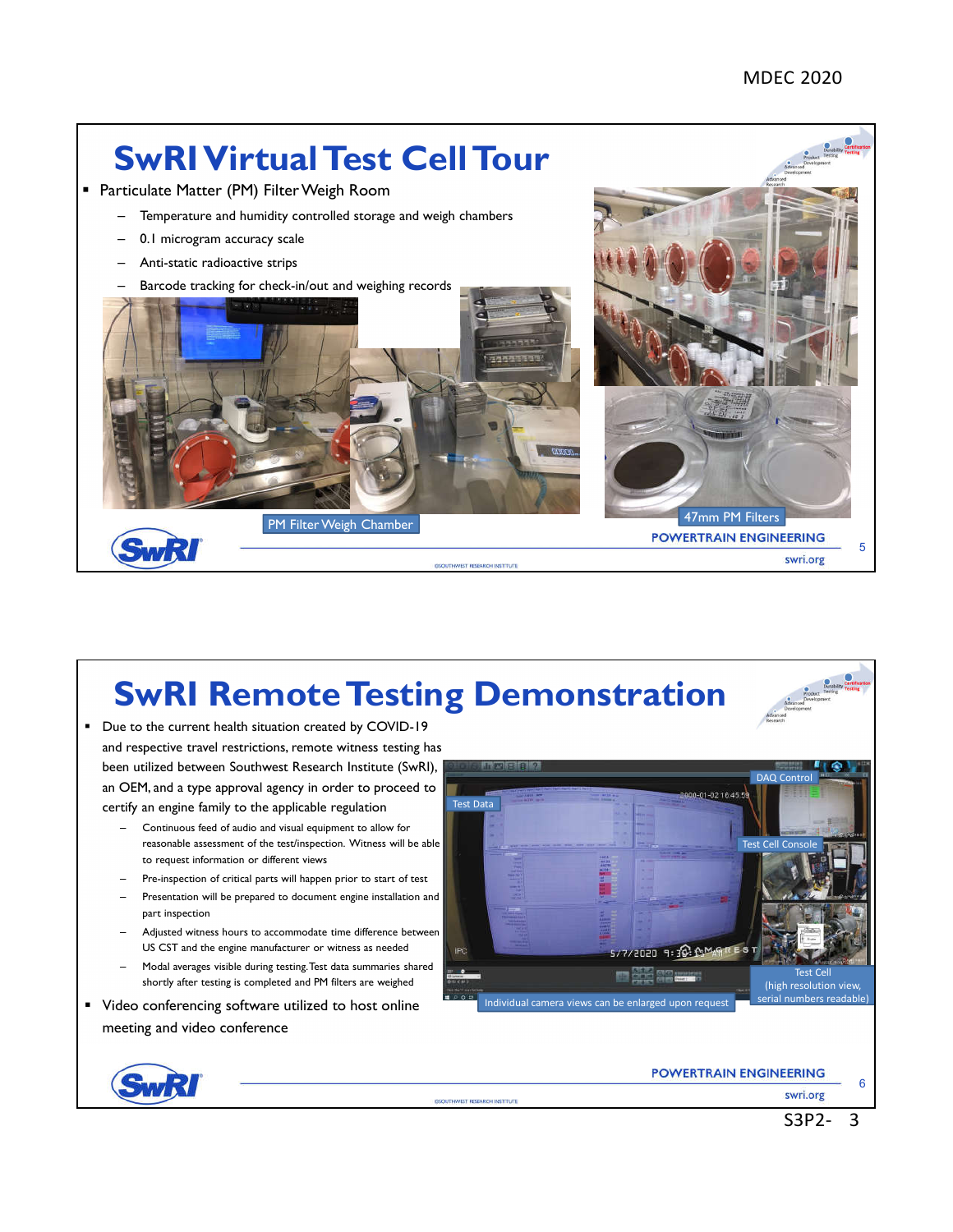

## **SwRI Remote Testing Demonstration**

- Due to the current health situation created by COVID-19 and respective travel restrictions, remote witness testing has been utilized between Southwest Research Institute (SwRI), an OEM, and a type approval agency in order to proceed to certify an engine family to the applicable regulation
	- Continuous feed of audio and visual equipment to allow for reasonable assessment of the test/inspection. Witness will be able to request information or different views
	- Pre-inspection of critical parts will happen prior to start of test
	- Presentation will be prepared to document engine installation and part inspection
	- Adjusted witness hours to accommodate time difference between US CST and the engine manufacturer or witness as needed
	- Modal averages visible during testing. Test data summaries shared shortly after testing is completed and PM filters are weighed
- Video conferencing software utilized to host online meeting and video conference





**POWERTRAIN ENGINEERING** 

swri.org

6

S3P2- 3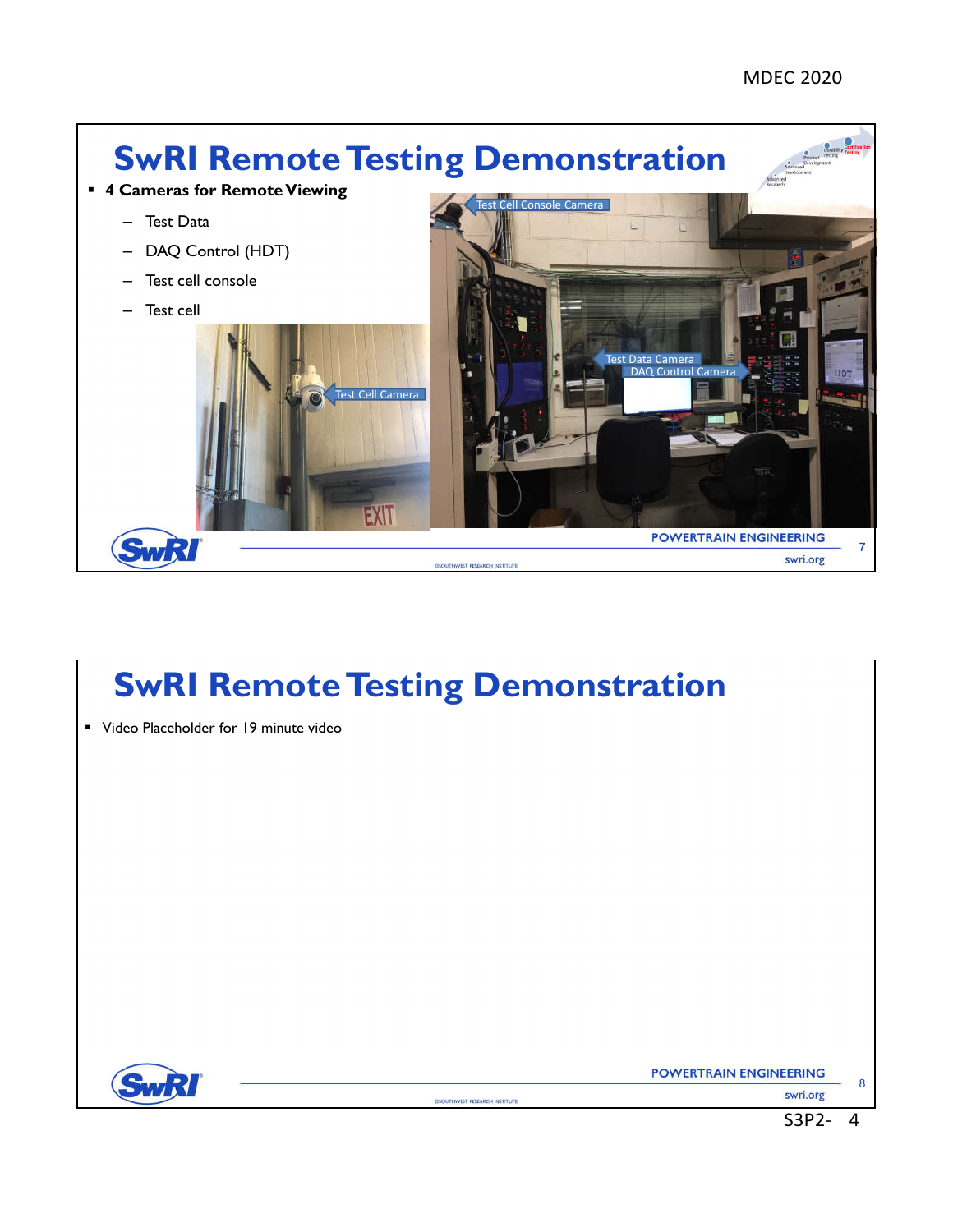

## **SwRI Remote Testing Demonstration**

Video Placeholder for 19 minute video



**POWERTRAIN ENGINEERING** 

swri.org

8

S3P2- 4